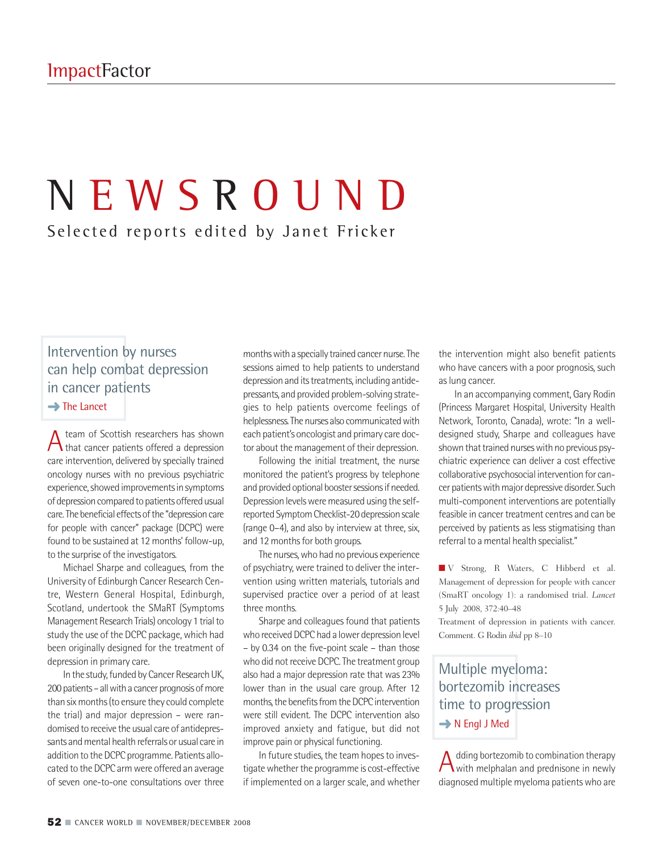# N E W S R O U N D Selected reports edited by Janet Fricker

## Intervention by nurses can help combat depression in cancer patients

**→**The Lancet

Ateam of Scottish researchers has shown that cancer patients offered a depression care intervention, delivered by specially trained oncology nurses with no previous psychiatric experience, showed improvements in symptoms of depression compared to patients offered usual care. The beneficial effects of the "depression care for people with cancer" package (DCPC) were found to be sustained at 12 months' follow-up, to the surprise of the investigators.

Michael Sharpe and colleagues, from the University of Edinburgh Cancer Research Centre, Western General Hospital, Edinburgh, Scotland, undertook the SMaRT (Symptoms Management Research Trials) oncology 1 trial to study the use of the DCPC package, which had been originally designed for the treatment of depression in primary care.

In the study, funded by Cancer Research UK, 200 patients – all with a cancer prognosis of more than six months (to ensure they could complete the trial) and major depression – were randomised to receive the usual care of antidepressants and mental health referrals or usual care in addition to the DCPC programme. Patients allocated to the DCPC armwere offered an average of seven one-to-one consultations over three

months with a specially trained cancer nurse. The sessions aimed to help patients to understand depression and its treatments, including antidepressants, and provided problem-solving strategies to help patients overcome feelings of helplessness. The nurses also communicated with each patient's oncologist and primary care doctor about the management of their depression.

Following the initial treatment, the nurse monitored the patient's progress by telephone and provided optional booster sessions if needed. Depression levels were measured using the selfreported Symptom Checklist-20 depression scale (range 0–4), and also by interview at three, six, and 12 months for both groups.

The nurses, who had no previous experience of psychiatry, were trained to deliver the intervention using written materials, tutorials and supervised practice over a period of at least three months.

Sharpe and colleagues found that patients who received DCPC had a lower depression level – by 0.34 on the five-point scale – than those who did not receive DCPC. The treatment group also had a major depression rate that was 23% lower than in the usual care group. After 12 months, the benefits from the DCPC intervention were still evident. The DCPC intervention also improved anxiety and fatigue, but did not improve pain or physical functioning.

In future studies, the team hopes to investigate whether the programme is cost-effective if implemented on a larger scale, and whether

the intervention might also benefit patients who have cancers with a poor prognosis, such as lung cancer.

In an accompanying comment, Gary Rodin (Princess Margaret Hospital, University Health Network, Toronto, Canada), wrote: "In a welldesigned study, Sharpe and colleagues have shown that trained nurses with no previous psychiatric experience can deliver a cost effective collaborative psychosocial intervention for cancer patients with major depressive disorder. Such multi-component interventions are potentially feasible in cancer treatment centres and can be perceived by patients as less stigmatising than referral to a mental health specialist."

**■** V Strong, R Waters, C Hibberd et al. Management of depression for people with cancer (SmaRT oncology 1): a randomised trial. *Lancet* 5 July 2008, 372:40–48

Treatment of depression in patients with cancer. Comment. G Rodin *ibid* pp 8–10

Multiple myeloma: bortezomib increases time to progression **→** N Engl J Med

A dding bortezomib to combination therapy<br>with melphalan and prednisone in newly diagnosed multiple myeloma patientswho are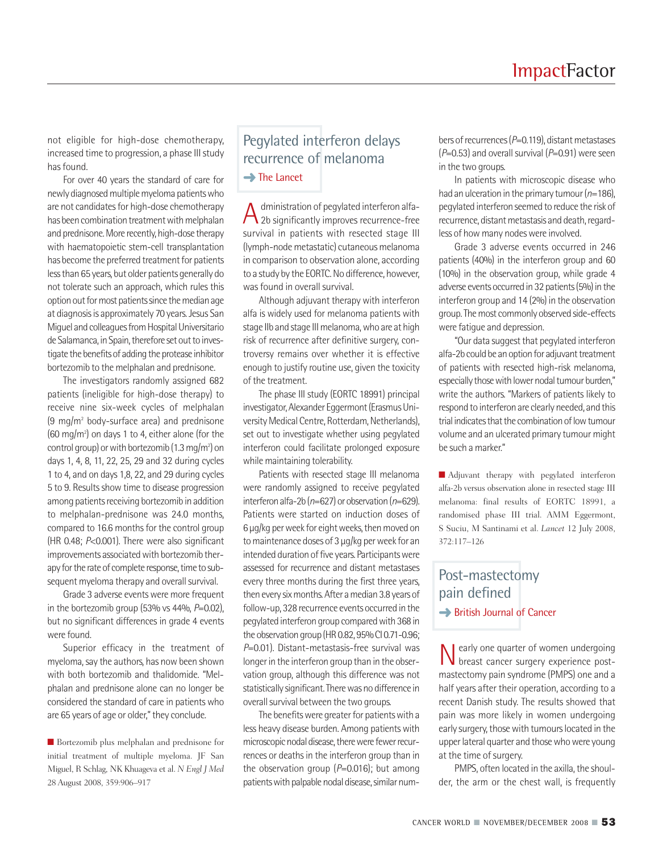not eligible for high-dose chemotherapy, increased time to progression, a phase III study has found.

For over 40 years the standard of care for newly diagnosed multiple myeloma patients who are not candidates for high-dose chemotherapy has been combination treatment with melphalan and prednisone. More recently, high-dose therapy with haematopoietic stem-cell transplantation has become the preferred treatment for patients lessthan 65 years, but older patients generally do not tolerate such an approach, which rules this option out for most patients since the median age at diagnosis is approximately 70 years. Jesus San Miguel and colleagues from Hospital Universitario de Salamanca, in Spain, therefore set out to investigate the benefits of adding the protease inhibitor bortezomib to the melphalan and prednisone.

The investigators randomly assigned 682 patients (ineligible for high-dose therapy) to receive nine six-week cycles of melphalan  $(9 \text{ mg/m}^2 \text{ body-surface area})$  and prednisone  $(60 \text{ mg/m}^2)$  on days 1 to 4, either alone (for the control group) or with bortezomib (1.3 mg/m²) on days 1, 4, 8, 11, 22, 25, 29 and 32 during cycles 1 to 4, and on days 1,8, 22, and 29 during cycles 5 to 9. Results show time to disease progression among patients receiving bortezomib in addition to melphalan-prednisone was 24.0 months, compared to 16.6 months for the control group (HR 0.48; *P*<0.001). There were also significant improvements associated with bortezomib therapy for the rate of complete response, time to subsequent myeloma therapy and overall survival.

Grade 3 adverse events were more frequent in the bortezomib group  $(53\%$  vs  $44\%$ ,  $P=0.02$ ), but no significant differences in grade 4 events were found.

Superior efficacy in the treatment of myeloma, say the authors, has now been shown with both bortezomib and thalidomide. "Melphalan and prednisone alone can no longer be considered the standard of care in patients who are 65 years of age or older," they conclude.

■ Bortezomib plus melphalan and prednisone for initial treatment of multiple myeloma. JF San Miguel, R Schlag, NK Khuageva et al. *N Engl J Med* 28 August 2008, 359:906–917

#### Pegylated interferon delays recurrence of melanoma **→**The Lancet

A dministration of pegylated interferon alfa-<br>2b significantly improves recurrence-free survival in patients with resected stage III (lymph-node metastatic) cutaneous melanoma in comparison to observation alone, according to a study by the EORTC. No difference, however, was found in overall survival.

Although adjuvant therapy with interferon alfa is widely used for melanoma patients with stage IIb and stage III melanoma, who are at high risk of recurrence after definitive surgery, controversy remains over whether it is effective enough to justify routine use, given the toxicity of the treatment.

The phase III study (EORTC 18991) principal investigator, Alexander Eggermont (Erasmus University Medical Centre, Rotterdam, Netherlands), set out to investigate whether using pegylated interferon could facilitate prolonged exposure while maintaining tolerability.

Patients with resected stage III melanoma were randomly assigned to receive pegylated interferon alfa-2b ( $n=627$ ) or observation ( $n=629$ ). Patients were started on induction doses of 6 µg/kg per week for eight weeks, then moved on to maintenance doses of 3 µg/kg per week for an intended duration of five years. Participants were assessed for recurrence and distant metastases every three months during the first three years, then every six months. After a median 3.8 years of follow-up, 328 recurrence events occurred in the pegylated interferon group compared with 368 in the observation group (HR 0.82, 95% CI 0.71-0.96; *P*=0.01). Distant-metastasis-free survival was longer in the interferon group than in the observation group, although this difference was not statistically significant. There was no difference in overall survival between the two groups.

The benefits were greater for patients with a less heavy disease burden. Among patients with microscopic nodal disease, there were fewer recurrences or deaths in the interferon group than in the observation group (*P*=0.016); but among patients with palpable nodal disease, similar num-

bers of recurrences ( $P=0.119$ ), distant metastases  $(P=0.53)$  and overall survival  $(P=0.91)$  were seen in the two groups.

In patients with microscopic disease who had an ulceration in the primary tumour (*n*=186), pegylated interferon seemed to reduce the risk of recurrence, distant metastasis and death, regardless of how many nodes were involved.

Grade 3 adverse events occurred in 246 patients (40%) in the interferon group and 60 (10%) in the observation group, while grade 4 adverse events occurred in 32 patients (5%) in the interferon group and 14 (2%) in the observation group. The most commonly observed side-effects were fatigue and depression.

"Our data suggest that pegylated interferon alfa-2b could be an option for adjuvant treatment of patients with resected high-risk melanoma, especially those with lower nodal tumour burden," write the authors. "Markers of patients likely to respond to interferon are clearly needed, and this trial indicates that the combination of low tumour volume and an ulcerated primary tumour might be such a marker."

■ Adjuvant therapy with pegylated interferon alfa-2b versus observation alone in resected stage III melanoma: final results of EORTC 18991, a randomised phase III trial. AMM Eggermont, S Suciu, M Santinami et al. *Lancet* 12 July 2008, 372:117–126

#### Post-mastectomy pain defined **→ British Journal of Cancer**

Nearly one quarter of women undergoing breast cancer surgery experience postmastectomy pain syndrome (PMPS) one and a half years after their operation, according to a recent Danish study. The results showed that pain was more likely in women undergoing early surgery, those with tumours located in the upperlateral quarter and thosewhowere young at the time of surgery.

PMPS, often located in the axilla, the shoulder, the arm or the chest wall, is frequently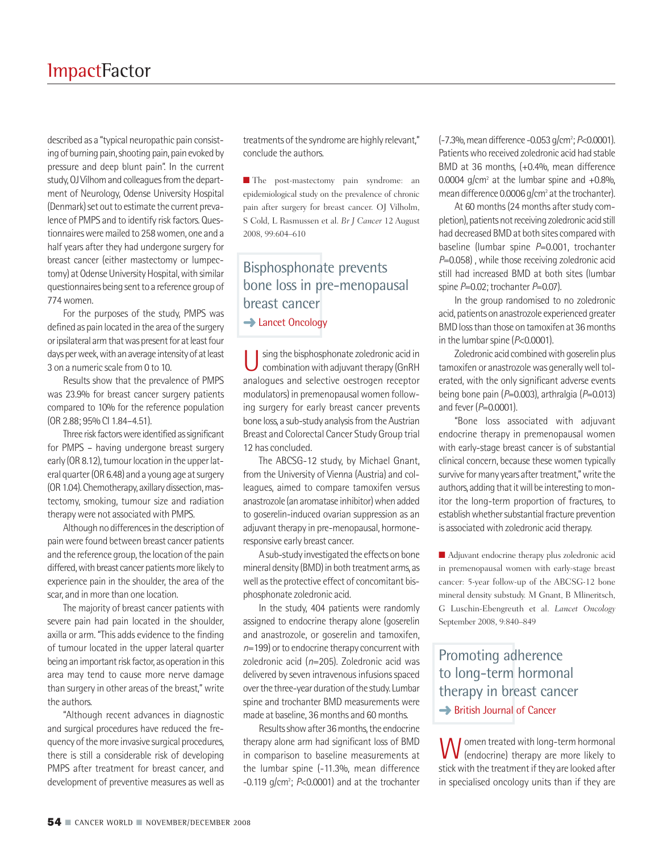described as a "typical neuropathic pain consisting of burning pain, shooting pain, pain evoked by pressure and deep blunt pain". In the current study, OJ Vilhom and colleagues from the department of Neurology, Odense University Hospital (Denmark) set out to estimate the current prevalence of PMPS and to identify risk factors. Questionnairesweremailed to 258women, one and a half years after they had undergone surgery for breast cancer (either mastectomy or lumpectomy) at Odense University Hospital, with similar questionnaires being sent to a reference group of 774women.

For the purposes of the study, PMPS was defined as pain located in the area of the surgery or ipsilateral arm that was present for at least four days per week, with an average intensity of at least 3 on a numeric scale from 0 to 10.

Results show that the prevalence of PMPS was 23.9% for breast cancer surgery patients compared to 10% for the reference population (OR 2.88; 95% CI 1.84–4.51).

Three risk factors were identified as significant for PMPS – having undergone breast surgery early (OR 8.12), tumour location in the upper lateral quarter (OR 6.48) and a young age at surgery (OR 1.04). Chemotherapy, axillary dissection, mastectomy, smoking, tumour size and radiation therapy were not associated with PMPS.

Although no differences in the description of pain were found between breast cancer patients and the reference group, the location of the pain differed, with breast cancer patients more likely to experience pain in the shoulder, the area of the scar, and in more than one location.

The majority of breast cancer patients with severe pain had pain located in the shoulder, axilla or arm. "This adds evidence to the finding of tumour located in the upper lateral quarter being an important risk factor, as operation in this area may tend to cause more nerve damage than surgery in other areas of the breast," write the authors.

"Although recent advances in diagnostic and surgical procedures have reduced the frequency of the more invasive surgical procedures, there is still a considerable risk of developing PMPS after treatment for breast cancer, and development of preventive measures as well as

treatments of the syndrome are highly relevant," conclude the authors.

**■** The post-mastectomy pain syndrome: an epidemiological study on the prevalence of chronic pain after surgery for breast cancer. OJ Vilholm, S Cold, L Rasmussen et al. *Br J Cancer* 12 August 2008, 99:604–610

## Bisphosphonate prevents bone loss in pre-menopausal breast cancer **→ Lancet Oncology**

Using the bisphosphonate zoledronic acid in<br>combination with adjuvant therapy (GnRH analogues and selective oestrogen receptor modulators) in premenopausal women following surgery for early breast cancer prevents bone loss, a sub-study analysis from the Austrian Breast and Colorectal Cancer Study Group trial 12 has concluded.

The ABCSG-12 study, by Michael Gnant, from the University of Vienna (Austria) and colleagues, aimed to compare tamoxifen versus anastrozole (an aromatase inhibitor) when added to goserelin-induced ovarian suppression as an adjuvant therapy in pre-menopausal, hormoneresponsive early breast cancer.

Asub-study investigated the effects on bone mineral density (BMD) in both treatment arms, as well as the protective effect of concomitant bisphosphonate zoledronic acid.

In the study, 404 patients were randomly assigned to endocrine therapy alone (goserelin and anastrozole, or goserelin and tamoxifen, *n*=199) or to endocrine therapy concurrent with zoledronic acid (*n*=205). Zoledronic acid was delivered by seven intravenous infusions spaced over the three-year duration of the study. Lumbar spine and trochanter BMD measurements were made at baseline, 36 months and 60 months.

Results show after 36 months, the endocrine therapy alone arm had significant loss of BMD in comparison to baseline measurements at the lumbar spine (-11.3%, mean difference -0.119 g/cm<sup>2</sup>; *P*<0.0001) and at the trochanter

(-7.3%,meandifference -0.053g/cm2 ;*P*<0.0001). Patientswho received zoledronic acid had stable BMD at 36 months, (+0.4%, mean difference 0.0004 g/cm<sup>2</sup> at the lumbar spine and  $+0.8\%$ , mean difference 0.0006 g/cm<sup>2</sup> at the trochanter).

At 60 months (24 months after study completion), patients not receiving zoledronic acid still had decreased BMD at both sites compared with baseline (lumbar spine *P*=0.001, trochanter *P*=0.058), while those receiving zoledronic acid still had increased BMD at both sites (lumbar spine *P*=0.02; trochanter *P*=0.07).

In the group randomised to no zoledronic acid, patients on anastrozole experienced greater BMD loss than those on tamoxifen at 36 months in the lumbar spine ( $P<0.0001$ ).

Zoledronic acid combined with goserelin plus tamoxifen or anastrozole was generally well tolerated, with the only significant adverse events being bone pain (*P*=0.003), arthralgia (*P*=0.013) and fever(*P*=0.0001).

"Bone loss associated with adjuvant endocrine therapy in premenopausal women with early-stage breast cancer is of substantial clinical concern, because these women typically survive for many years after treatment," write the authors, adding that it will be interesting to monitor the long-term proportion of fractures, to establish whether substantial fracture prevention is associated with zoledronic acid therapy.

■ Adjuvant endocrine therapy plus zoledronic acid in premenopausal women with early-stage breast cancer: 5-year follow-up of the ABCSG-12 bone mineral density substudy. M Gnant, B Mlineritsch, G Luschin-Ebengreuth et al. *Lancet Oncology* September 2008, 9:840–849

## Promoting adherence to long-term hormonal therapy in breast cancer **→** British Journal of Cancer

W omen treated with long-term hormonal<br>
(endocrine) therapy are more likely to stick with the treatment if they are looked after in specialised oncology units than if they are